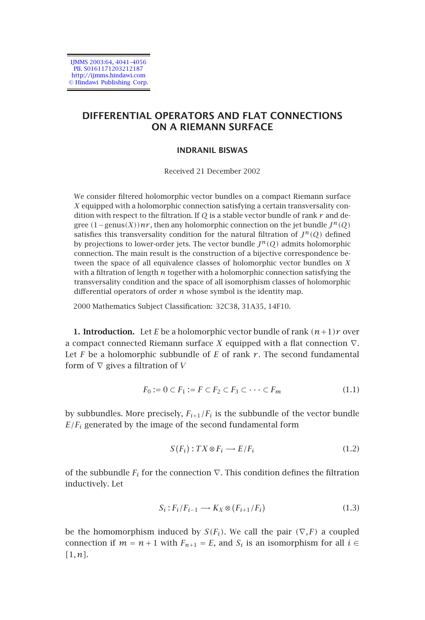IJMMS 2003:64, 4041–4056 PII. S0161171203212187 http://ijmms.hindawi.com © Hindawi Publishing Corp.

# **DIFFERENTIAL OPERATORS AND FLAT CONNECTIONS ON A RIEMANN SURFACE**

## **INDRANIL BISWAS**

#### Received 21 December 2002

We consider filtered holomorphic vector bundles on a compact Riemann surface *X* equipped with a holomorphic connection satisfying a certain transversality condition with respect to the filtration. If *Q* is a stable vector bundle of rank *r* and degree  $(1 - \text{genus}(X))nr$ , then any holomorphic connection on the jet bundle  $J^n(Q)$ satisfies this transversality condition for the natural filtration of  $J^n(Q)$  defined by projections to lower-order jets. The vector bundle  $J^n(Q)$  admits holomorphic connection. The main result is the construction of a bijective correspondence between the space of all equivalence classes of holomorphic vector bundles on *X* with a filtration of length *n* together with a holomorphic connection satisfying the transversality condition and the space of all isomorphism classes of holomorphic differential operators of order *n* whose symbol is the identity map.

2000 Mathematics Subject Classification: 32C38, 31A35, 14F10.

**1. Introduction.** Let *E* be a holomorphic vector bundle of rank  $(n+1)r$  over a compact connected Riemann surface *X* equipped with a flat connection ∇. Let  $F$  be a holomorphic subbundle of  $E$  of rank  $r$ . The second fundamental form of ∇ gives a filtration of *V*

$$
F_0 := 0 \subset F_1 := F \subset F_2 \subset F_3 \subset \cdots \subset F_m \tag{1.1}
$$

by subbundles. More precisely,  $F_{i+1}/F_i$  is the subbundle of the vector bundle  $E/F_i$  generated by the image of the second fundamental form

$$
S(F_i): TX \otimes F_i \longrightarrow E/F_i \tag{1.2}
$$

of the subbundle  $F_i$  for the connection  $\nabla$ . This condition defines the filtration inductively. Let

$$
S_i: F_i/F_{i-1} \longrightarrow K_X \otimes (F_{i+1}/F_i)
$$
\n(1.3)

be the homomorphism induced by  $S(F_i)$ . We call the pair  $(\nabla F)$  a coupled connection if  $m = n + 1$  with  $F_{n+1} = E$ , and  $S_i$  is an isomorphism for all  $i \in$ *[*1*,n]*.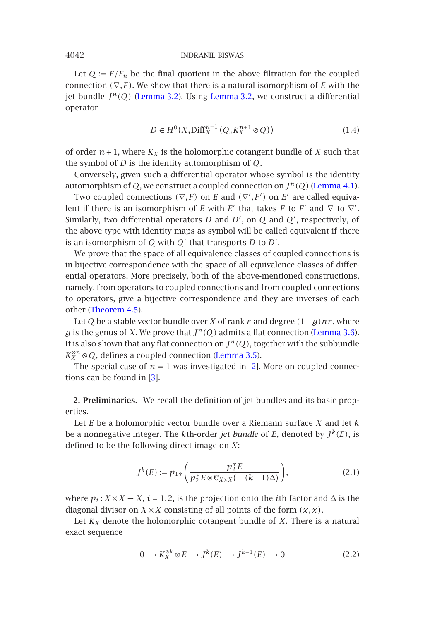Let  $Q := E/F_n$  be the final quotient in the above filtration for the coupled connection  $(\nabla, F)$ . We show that there is a natural isomorphism of *E* [with the](#page-10-0) jet bundle *Jn(Q)* (Lemma 3.2). Using Lemma 3.2, we construct a differential operator

$$
D \in H^{0}(X, \text{Diff}_{X}^{n+1}(Q, K_{X}^{n+1} \otimes Q))
$$
\n
$$
(1.4)
$$

of order  $n+1$ , where  $K_X$  is the holomorphic cotangent bundle of *X* such that the symbol of *D* is the identity automorphism of *Q*.

Conversely, given such a differential operator whose symbol is the identity automorphism of  $Q$ , we construct a coupled connection on  $J^n(Q)$  (Lemma 4.1).

Two coupled connections  $(\nabla, F)$  on *E* and  $(\nabla', F')$  on *E'* are called equivalent if [there is an is](#page-14-0)omorphism of *E* with *E'* that takes *F* to *F'* and  $\nabla$  to  $\nabla'$ . Similarly, two differential operators *D* and *D* , on *Q* and *Q* , respectively, of the above type with identity maps as symbol will be called equiv[alent if there](#page-8-0) is an isomorphism of  $Q$  with  $Q'$  that transports  $D$  to  $D'$ .

We prove that the space of all equival[ence classes](#page-6-0) of coupled connections is in bijective correspondence with the space of all [eq](#page-15-0)uivalence classes of differential operators. Mor[e p](#page-15-1)recisely, both of the above-mentioned constructions, namely, from operators to coupled connections and from coupled connections to operators, give a bijective correspondence and they are inverses of each other (Theorem 4.5).

Let *Q* be a stable vector bundle over *X* of rank *r* and degree *(*1−*g)nr* , where *g* is the genus of *X*. We prove that  $J^n(0)$  admits a flat connection (Lemma 3.6). It is also shown that any flat connection on  $J^n(Q)$ , together with the subbundle  $K_X^{\otimes n} \otimes Q$ , defines a coupled connection (Lemma 3.5).

The special case of  $n = 1$  was investigated in [2]. More on coupled connections can be found in [3].

**2. Preliminaries.** We recall the definition of jet bundles and its basic properties.

<span id="page-1-0"></span>Let *E* be a holomorphic vector bundle over a Riemann surface *X* and let *k* be a nonnegative integer. The *k*th-order *jet bundle* of *E*, denoted by  $J^k(E)$ , is defined to be the following direct image on *X*:

$$
J^{k}(E) := p_{1*} \left( \frac{p_2^* E}{p_2^* E \otimes \mathbb{O}_{X \times X} \left( -(k+1)\Delta \right)} \right), \tag{2.1}
$$

where  $p_i$ :  $X \times X \to X$ ,  $i = 1, 2$ , is the projection onto the *i*th factor and  $\Delta$  is the diagonal divisor on  $X \times X$  consisting of all points of the form  $(x, x)$ .

Let  $K_X$  denote the holomorphic cotangent bundle of  $X$ . There is a natural exact sequence

$$
0 \longrightarrow K_X^{\otimes k} \otimes E \longrightarrow J^k(E) \longrightarrow J^{k-1}(E) \longrightarrow 0 \tag{2.2}
$$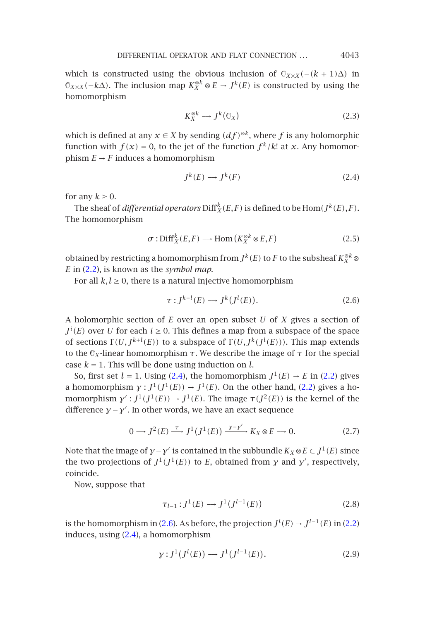<span id="page-2-0"></span>DIFFERENTIAL OPERATOR AND FLAT CONNECTION *...* 4043

which is constructed using the obvious inclusion of  $\mathbb{O}_{X\times X}(-(k+1)\Delta)$  in  $\mathbb{O}_{X \times X}(-k\Delta)$ . The inclusion map  $K_X^{\otimes k} \otimes E \to J^k(E)$  is constructed by using the homomorphism

$$
K_X^{\otimes k} \longrightarrow J^k(\mathbb{G}_X) \tag{2.3}
$$

which is defined at any  $x \in X$  by sending  $(df)^{\otimes k}$ , where *f* is any holomorphic function with  $f(x) = 0$ , to the jet of the function  $f^k/k!$  at *x*. Any homomorphism  $E \rightarrow F$  induces a homomorphism

<span id="page-2-1"></span>
$$
J^k(E) \longrightarrow J^k(F) \tag{2.4}
$$

for any  $k \geq 0$ .

The sheaf of *differential operators*  $\mathrm{Diff}^k_X(E,F)$  is defined to be  $\mathrm{Hom}(J^k(E),F).$ The homomorphism

$$
\sigma: \text{Diff}^k_X(E, F) \longrightarrow \text{Hom}\left(K_X^{\otimes k} \otimes E, F\right) \tag{2.5}
$$

obtained by restricting a homomorphism from  $J^k(E)$  to  $F$  to the subsheaf  $K_X^{\otimes k} \otimes$ *E* in (2.2), is known as the *symbol map*.

For all  $k, l \geq 0$ , there is a [natu](#page-2-0)ral injective homomorphism

$$
\tau: J^{k+l}(E) \longrightarrow J^k(J^l(E)).\tag{2.6}
$$

A holomorphic section of *E* over an open subset *U* of *X* gives a section of  $J^i(E)$  over *U* for each  $i \geq 0$ . This defines a map from a subspace of the space of sections  $\Gamma(U, J^{k+l}(E))$  to a subspace of  $\Gamma(U, J^k(J^l(E)))$ . This map extends to the  $\mathcal{O}_X$ -linear homomorphism *τ*. We describe the image of *τ* for the special case  $k = 1$ . This will be done using induction on  $l$ .

So, first set  $l = 1$ . Using (2.4), the homomorphism  $J^1(E) \rightarrow E$  in (2.2) gives a homomorphism  $\gamma: J^1(J^1(E)) \to J^1(E)$ . On the other hand, (2.2) gives a homomorphism  $\gamma'$ :  $J^1(J^1(E)) \to J^1(E)$ . The image  $\tau(J^2(E))$  is the kernel of the difference *γ* −*γ* . In other words, we have an exact sequence

$$
0 \longrightarrow J^2(E) \xrightarrow{\tau} J^1(J^1(E)) \xrightarrow{y-y'} K_X \otimes E \longrightarrow 0. \tag{2.7}
$$

Note that the image of *γ*−*γ'* is contained in the subbundle  $K_X \otimes E \subset J^1(E)$  since the two projections of  $J^1(J^1(E))$  to *E*, obtained from *y* and *y'*, respectively, coincide.

Now, suppose that

$$
\tau_{l-1}: J^1(E) \longrightarrow J^1(J^{l-1}(E))
$$
\n(2.8)

is the homomorphism in (2.6). As before, the projection  $J^l(E) \rightarrow J^{l-1}(E)$  in (2.2) induces, using (2.4), a homomorphism

$$
\gamma: J^1(J^l(E)) \longrightarrow J^1(J^{l-1}(E)). \tag{2.9}
$$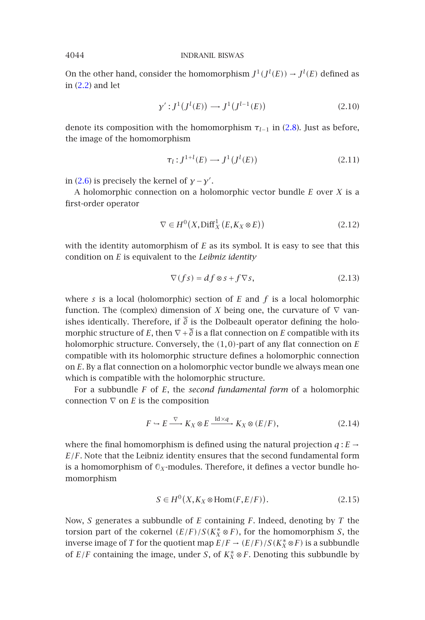On the other hand, consider the homomorphism  $J^1(J^l(E)) \rightarrow J^l(E)$  defined as in [\(2.2\)](#page-2-1) and let

$$
\gamma': J^1(J^l(E)) \longrightarrow J^1(J^{l-1}(E))
$$
\n(2.10)

denote its composition with the homomorphism  $\tau_{l-1}$  in (2.8). Just as before, the image of the homomorphism

$$
\tau_l : J^{1+l}(E) \longrightarrow J^1(J^l(E))
$$
\n(2.11)

in (2.6) is precisely the kernel of  $\gamma - \gamma'$ .

A holomorphic connection on a holomorphic vector bundle *E* over *X* is a first-order operator

$$
\nabla \in H^0(X, \text{Diff}^1_X(E, K_X \otimes E))
$$
\n(2.12)

with the identity automorphism of *E* as its symbol. It is easy to see that this condition on *E* is equivalent to the *Leibniz identity*

$$
\nabla(f\mathbf{s}) = df \otimes \mathbf{s} + f \nabla \mathbf{s},\tag{2.13}
$$

where *s* is a local (holomorphic) section of *E* and *f* is a local holomorphic function. The (complex) dimension of *X* being one, the curvature of  $\nabla$  vanishes identically. Therefore, if  $\overline{\partial}$  is the Dolbeault operator defining the holomorphic structure of *E*, then  $\nabla$  +  $\overline{\partial}$  is a flat connection on *E* compatible with its holomorphic structure. Conversely, the *(*1*,*0*)*-part of any flat connection on *E* compatible with its holomorphic structure defines a holomorphic connection on *E*. By a flat connection on a holomorphic vector bundle we always mean one which is compatible with the holomorphic structure.

<span id="page-3-0"></span>For a subbundle *F* of *E*, the *second fundamental form* of a holomorphic connection ∇ on *E* is the composition

$$
F \hookrightarrow E \xrightarrow{\nabla} K_X \otimes E \xrightarrow{\mathrm{Id} \times q} K_X \otimes (E/F), \tag{2.14}
$$

where the final homomorphism is defined using the natural projection  $q: E \rightarrow$ *E/F*. Note that the Leibniz identity ensures that the second fundamental form is a homomorphism of  $\mathbb{O}_X$ -modules. Therefore, it defines a vector bundle homomorphism

$$
S \in H^0(X, K_X \otimes \text{Hom}(F, E/F)).
$$
 (2.15)

Now, *S* generates a subbundle of *E* containing *F*. Indeed, denoting by *T* the torsion part of the cokernel  $(E/F)/S(K_X^* \otimes F)$ , for the homomorphism *S*, the inverse image of *T* for the quotient map  $E/F \to (E/F)/S(K_X^* \otimes F)$  is a subbundle of  $E/F$  containing the image, under *S*, of  $K_X^* \otimes F$ . Denoting this subbundle by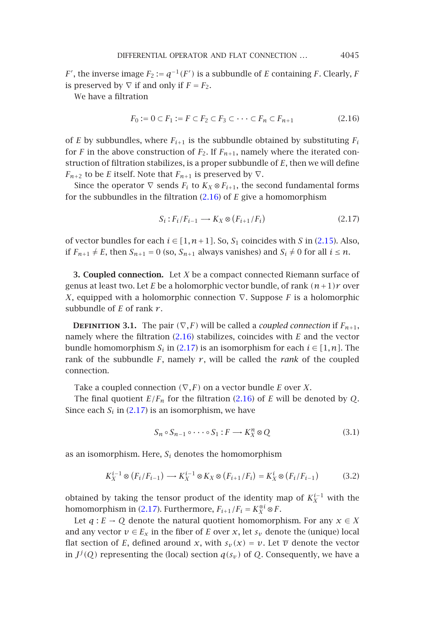<span id="page-4-0"></span>DIFFERENTIAL OPERATOR AND FLAT CONNECTION *...* 4045

*F*<sup> $\prime$ </sup>, the inverse image *F*<sub>2</sub> := *q*<sup>-1</sup>(*F*<sup> $\prime$ </sup>) is a subbundle of *E* containing *F*. Clearly, *F* is preserved by  $\nabla$  if and only if  $F = F_2$ .

We have a filtration

<span id="page-4-1"></span>
$$
F_0 := 0 \subset F_1 := F \subset F_2 \subset F_3 \subset \cdots \subset F_n \subset F_{n+1}
$$
\n
$$
(2.16)
$$

of *E* by subbundles, where  $F_{i+1}$  is the subbundle obtained by su[bstitut](#page-3-0)ing  $F_i$ for *F* in the above construction of  $F_2$ . If  $F_{n+1}$ , namely where the iterated construction of filtration stabilizes, is a proper subbundle of *E*, then we will define *F<sub>n+2</sub>* to be *E* itself. Note that  $F_{n+1}$  is preserved by  $\nabla$ .

Since the operator  $\nabla$  sends  $F_i$  to  $K_X \otimes F_{i+1}$ , the second fundamental forms for the subbundles in the filtration (2.16) of *E* give a homomorphism

<span id="page-4-2"></span>
$$
S_i: F_i/F_{i-1} \longrightarrow K_X \otimes (F_{i+1}/F_i)
$$
\n
$$
(2.17)
$$

of vector bundles for each  $i \in [1, n+1]$  $i \in [1, n+1]$  $i \in [1, n+1]$ . So,  $S_1$  coincides with *S* in (2.15). Also, if  $F_{n+1} \neq E$ , then  $S_{n+1} = 0$  (so,  $S_{n+1}$  always vanishes) and  $S_i \neq 0$  for all  $i \leq n$ .

**3. Coupled connection.** Let *X* be a compact connected Riemann surface of genus at least two. Let *E* be a holomorphic vector bundle, of rank *(n*+1*)r* over *X*, equipped with a holomorphic connection [∇](#page-4-0). Suppose *F* is a holomorphic subbundle of *E* [of ran](#page-4-1)k *r* .

**DEFINITION 3.1.** The pair  $(\nabla, F)$  will be called a *coupled connection* if  $F_{n+1}$ , namely where the filtration (2.16) stabilizes, coincides with *E* and the vector bundle homomorphism  $S_i$  in (2.17) is an isomorphism for each  $i \in [1, n]$ . The rank of the subbundle  $F$ , namely  $r$ , will be called the *rank* of the coupled connection.

Take a coupled connection *(*∇*,F)* on a vector bundle *E* over *X*.

The final quotient  $E/F_n$  for the filtration (2.16) of *E* will be denoted by *Q*. Since each  $S_i$  in (2.[17\) is](#page-4-1) an isomorphism, we have

$$
S_n \circ S_{n-1} \circ \cdots \circ S_1 : F \longrightarrow K_X^n \otimes Q \tag{3.1}
$$

as an isomorphism. Here,  $S_i$  denotes the homomorphism

$$
K_X^{i-1} \otimes (F_i/F_{i-1}) \longrightarrow K_X^{i-1} \otimes K_X \otimes (F_{i+1}/F_i) = K_X^i \otimes (F_i/F_{i-1})
$$
(3.2)

obtained by taking the tensor product of the identity map of  $K_X^{i-1}$  with the homomorphism in (2.17). Furthermore,  $F_{i+1}/F_i = K_X^{\otimes i} \otimes F$ .

Let  $q: E \to Q$  denote the natural quotient homomorphism. For any  $x \in X$ and any vector  $v \in E_x$  in the fiber of *E* over *x*, let  $s_v$  denote the (unique) local flat section of *E*, defined around *x*, with  $s_v(x) = v$ . Let  $\overline{v}$  denote the vector in  $J^j(Q)$  representing the (local) section  $q(s_v)$  of  $Q$ . Consequently, we have a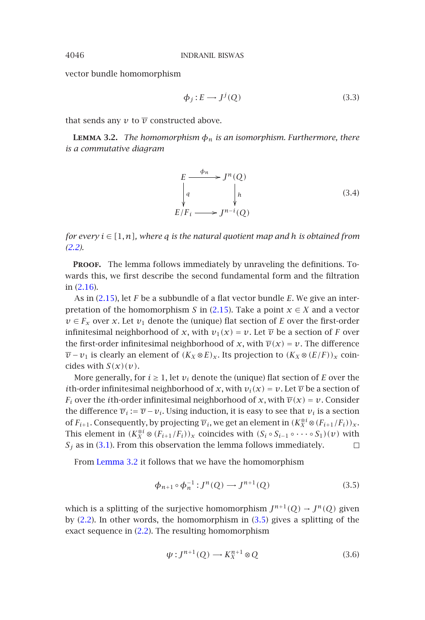vector bundle homomorphism

$$
\phi_j: E \longrightarrow J^j(Q) \tag{3.3}
$$

that sends any  $v$  to  $\overline{v}$  constructed above.

**LEMMA 3.2.** *The homomorphism*  $\phi_n$  *is an isomorphism. Furthermore, there [is a](#page-1-0) commutative diagram*

$$
E \xrightarrow{\phi_n} J^n(Q)
$$
\n
$$
\downarrow q
$$
\n
$$
E/F_i \longrightarrow J^{n-i}(Q)
$$
\n(3.4)

*for every i* ∈ *[*1*,n], where q is the natural quotient map and h is obtained from (2.2).*

PROOF. The lemma follows immediately by unraveling the definitions. Towards this, we first describe the second fundamental form and the filtration in (2.16).

As in (2.15), let *F* be a subbundle of a flat vector bundle *E*. We give an interpretation of the homomorphism *S* in (2.15). Take a point  $x \in X$  and a vector  $v \in F_x$  over *x*. Let  $v_1$  denote the (unique) flat section of *E* over the first-order infinitesimal neighborhood of *x*, with  $v_1(x) = v$ . Let  $\overline{v}$  be a section of *F* over the first-[ord](#page-4-2)er infinitesimal neighborhood of *x*, with  $\overline{v}(x) = v$ . The difference *v* − *v*<sub>1</sub> is clearly an element of  $(K_X \otimes E)_x$ . Its projection to  $(K_X \otimes (E/F))_x$  coincides with  $S(x)(v)$ .

More generally, for  $i \geq 1$ , let  $v_i$  denote the (unique) flat section of *E* over the *i*th-order infinitesimal neighborhood of *x*, with  $v_i(x) = v$ . Let  $\overline{v}$  be a section of *F<sub>i</sub>* over the *i*th-order infinitesimal neighborhood of *x*, with  $\overline{v}(x) = v$ . Consider the difference  $\overline{v}_i := \overline{v} - v_i$ . Using induction, it is easy to see that  $v_i$  is a section of  $F_{i+1}$ . Consequently, by projecting  $\overline{v}_i$ , we get an [elem](#page-5-1)ent in  $(K_X^{\otimes i} \otimes (F_{i+1}/F_i))_X$ . This element in  $(K_X^{\otimes i} \otimes (F_{i+1}/F_i))_X$  coincides with  $(S_i \circ S_{i-1} \circ \cdots \circ S_1)(v)$  with  $S_i$  as in (3.1). From this observation the lemma follows immediately.  $\Box$ 

From Lemma 3.2 it follows that we have the homomorphism

<span id="page-5-1"></span>
$$
\phi_{n+1} \circ \phi_n^{-1} : J^n(Q) \longrightarrow J^{n+1}(Q) \tag{3.5}
$$

which is a splitting of the surjective homomorphism  $J^{n+1}(Q) \rightarrow J^n(Q)$  given by  $(2.2)$ . In other words, the homomorphism in  $(3.5)$  gives a splitting of the exact sequence in (2.2). The resulting homomorphism

$$
\psi: J^{n+1}(Q) \longrightarrow K_X^{n+1} \otimes Q \tag{3.6}
$$

<span id="page-5-0"></span>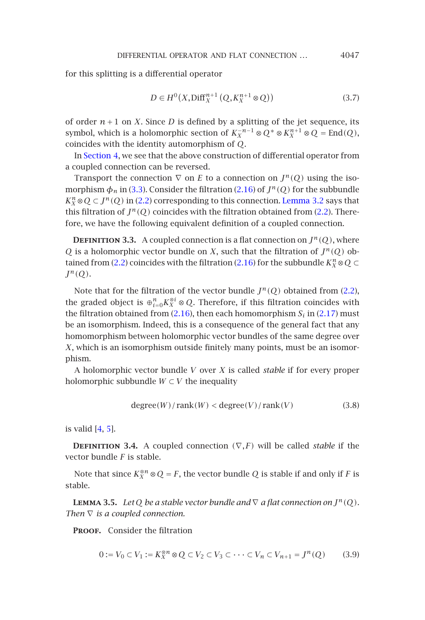## <span id="page-6-2"></span>[D](#page-9-0)IFFERENTIAL OPERATOR AND FLAT CONNECTION ... 4047

for this splitting is a differential operator

$$
D \in H^{0}(X, \text{Diff}_{X}^{n+1}(Q, K_{X}^{n+1} \otimes Q))
$$
\n
$$
(3.7)
$$

of order  $n+1$  on *X*. Since *D* is defined by a splitting of the jet sequence, its symbol, which is a holomorphic section of  $K_X^{-n-1} \otimes Q^* \otimes K_X^{n+1} \otimes Q = \text{End}(Q)$ , coincides with the identity automorphism of *Q*.

In Section 4, we see that the above construction of differential operator from a coupled c[onne](#page-1-0)ction can be reversed.

Transport the connection  $\nabla$  on *E* to a connection on  $J^n(Q)$  using the isomorphism  $\phi_n$  in (3.3). Consider the filtration (2.16) of  $J^n(Q)$  for the subb[undle](#page-1-0)  $K_X^n \otimes Q \subset J^n(Q)$  in (2.2) corresponding to this connection. Lemma 3.2 says that this filtration of  $J^n(Q)$  coin[cides w](#page-4-0)ith the filtration obtained from ([2.2\). T](#page-4-1)herefore, we have the following equivalent definition of a coupled connection.

**DEFINITION 3.3.** A coupled connection is a flat connection on  $J^n(Q)$ , where *Q* is a holomorphic vector bundle on *X*, such that the filtration of  $J^n(Q)$  obtained from (2.2) coincides with the filtration (2.16) for the subbundle  $K_X^n \otimes Q \subset$  $J^n(Q)$ .

Note that for the filtration of the vector bundle  $J^n(Q)$  obtained from (2.2), the graded object is  $\oplus_{i=0}^n K_X^{\otimes i} \otimes Q$ . Therefore, if this filtration coincides with the filtration obtained from  $(2.16)$ , then each homomorphism  $S_i$  in  $(2.17)$  must be an is[om](#page-15-2)orphism. Indeed, this is a consequence of the general fact that any homomor[ph](#page-15-3)ism between holomorphic vector bundles of the same degree over *X*, which is an isomorphism outside finitely many points, must be an isomorphism.

<span id="page-6-0"></span>A holomorphic vector bundle *V* over *X* is called *stable* if for every proper holomorphic subbundle  $W \subset V$  the inequality

<span id="page-6-1"></span>
$$
degree(W)/rank(W) < degree(V)/rank(V)
$$
\n(3.8)

is valid  $[4, 5]$ .

**DEFINITION 3.4.** A coupled connection  $(\nabla, F)$  will be called *stable* if the vector bundle *F* is stable.

Note that since  $K_X^{\otimes n} \otimes Q = F$ , the vector bundle *Q* is stable if and only if *F* is stable.

**LEMMA 3.5.** Let Q be a stable vector bundle and  $\nabla$  a flat connection on  $J^n(Q)$ . *Then*  $∇$  *is a coupled connection.* 

PROOF. Consider the filtration

$$
0 := V_0 \subset V_1 := K_X^{\otimes n} \otimes Q \subset V_2 \subset V_3 \subset \cdots \subset V_n \subset V_{n+1} = J^n(Q) \tag{3.9}
$$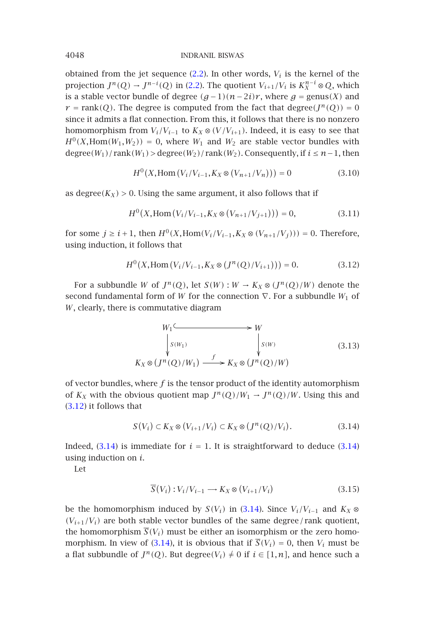obtained from the jet sequence  $(2.2)$ . In other words,  $V_i$  is the kernel of the projection  $J^n(Q) \to J^{n-i}(Q)$  in (2.2). The quotient  $V_{i+1}/V_i$  is  $K_X^{n-i} \otimes Q$ , which is a stable vector bundle of degree  $(g-1)(n-2i)r$ , where  $g = \text{genus}(X)$  and  $r = \text{rank}(Q)$ . The degree is computed from the fact that degree $(J^n(Q)) = 0$ since it admits a flat connection. From this, it follows that there is no nonzero homomorphism from  $V_i/V_{i-1}$  to  $K_X \otimes (V/V_{i+1})$ . Indeed, it is easy to see that  $H^0(X, \text{Hom}(W_1, W_2)) = 0$ , where  $W_1$  and  $W_2$  are stable vector bundles with  $\text{degree}(W_1)/\text{rank}(W_1) > \text{degree}(W_2)/\text{rank}(W_2)$ . Consequently, if  $i \leq n-1$ , then

<span id="page-7-0"></span>
$$
H^{0}(X, \text{Hom}(V_{i}/V_{i-1}, K_{X} \otimes (V_{n+1}/V_{n}))) = 0 \tag{3.10}
$$

as degree $(K_X) > 0$ . Using the same argument, it also follows that if

$$
H^{0}(X, \text{Hom}(V_{i}/V_{i-1}, K_{X} \otimes (V_{n+1}/V_{j+1}))) = 0, \qquad (3.11)
$$

for some *j* ≥ *i* + 1, then  $H^0(X, \text{Hom}(V_i/V_{i-1}, K_X \otimes (V_{n+1}/V_i)))$  = 0. Therefore, using induction, it follows that

$$
H^{0}(X, \text{Hom}(V_{i}/V_{i-1}, K_{X} \otimes (J^{n}(Q)/V_{i+1}))) = 0.
$$
 (3.12)

<span id="page-7-1"></span>For a subbundle *W* of  $J^n(Q)$ , let  $S(W) : W \to K_X \otimes (J^n(Q)/W)$  denote the second fundamental form of *W* for the connection  $∇$ . For a subbundle *W*<sub>1</sub> of *W*[, cle](#page-7-0)arly, there is commutative diagram

$$
W_1 \xrightarrow{\qquad \qquad W} W_2
$$
  
\n
$$
\downarrow S(W_1) \qquad \qquad \downarrow S(W)
$$
  
\n
$$
K_X \otimes (J^n(Q)/W_1) \xrightarrow{f} K_X \otimes (J^n(Q)/W)
$$
  
\n(3.13)

of vector bundles, where  $f$  is the tensor product of the identity automorphism of  $K_X$  with the obvious quotient map  $J^n(Q)/W_1 \to J^n(Q)/W$ . Using this and (3.12) it follows that

$$
S(V_i) \subset K_X \otimes (V_{i+1}/V_i) \subset K_X \otimes (J^n(Q)/V_i). \tag{3.14}
$$

Indeed,  $(3.14)$  is imme[diate](#page-7-1) for  $i = 1$ . It is straightforward to deduce  $(3.14)$ using induction on *i*.

Let

$$
\overline{S}(V_i): V_i/V_{i-1} \longrightarrow K_X \otimes (V_{i+1}/V_i)
$$
\n(3.15)

be the homomorphism induced by *S(V<sub>i</sub>)* in (3.14). Since  $V_i/V_{i-1}$  and  $K_X$  ⊗  $(V_{i+1}/V_i)$  are both stable vector bundles of the same degree/rank quotient, the homomorphism  $\overline{S}(V_i)$  must be either an isomorphism or the zero homomorphism. In view of (3.14), it is obvious that if  $\overline{S}(V_i) = 0$ , then  $V_i$  must be a flat subbundle of  $J^n(Q)$ . But degree $(V_i) \neq 0$  if  $i \in [1, n]$ , and hence such a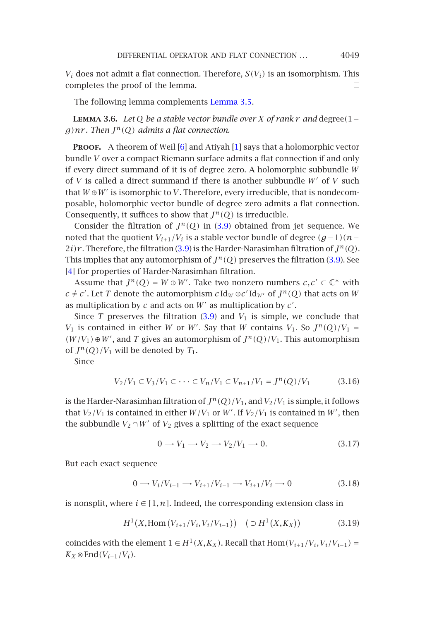## DIFFERENTIAL O[PER](#page-15-4)ATOR AND FLAT CONNECTION ... 4049

<span id="page-8-0"></span> $V_i$  does not admit a flat connection. Therefore,  $\overline{S}(V_i)$  is an isomorphism. This completes the proof of the lemma.  $\Box$ 

The following lemma complements Lemma 3.5.

**Lemma 3.6.** *Let <sup>Q</sup> be a stable vector bundle over <sup>X</sup> of rank <sup>r</sup> and* degree*(*1<sup>−</sup>  $g$ )nr. Then  $J^n(Q)$  admits a flat connec[tion.](#page-6-1)

**PROOF.** A theorem of Weil [\[6\] a](#page-6-1)nd Atiyah [1] says that a holomorphic vector bundle *V* over a compact Riemann surface admits a flat connection if [and](#page-6-1) only [if e](#page-15-2)very direct summand of it is of degree zero. A holomorphic subbundle *W* of *V* is called a direct summand if there is another subbundle *W* of *V* such that  $W \oplus W'$  is isomorphic to *V*. Therefore, every irreducible, that is nondecomposable, holomorphic vector bundle of degree zero admits a flat connection. Consequently, it suffices to show th[at](#page-6-1)  $J^n(Q)$  is irreducible.

Consider the filtration of  $J^n(Q)$  in (3.9) obtained from jet sequence. We noted that the quotient  $V_{i+1}/V_i$  is a stable vector bundle of degree  $(g-1)(n−)$  $2i)$ r. Therefore, the filtration (3.9) is the Harder-Narasimhan filtration of  $J^n(Q)$ . This implies that any automorphism of  $J^n(Q)$  preserves the filtration (3.9). See [4] for properties of Harder-Narasimhan filtration.

Assume that  $J^n(Q) = W \oplus W'$ . Take two nonzero numbers  $c, c' \in \mathbb{C}^*$  with  $c \neq c'$ . Let *T* denote the automorphism  $c \, \text{Id}_W \oplus c' \, \text{Id}_{W'}$  of  $J^n(Q)$  that acts on  $W$ as multiplication by *c* and acts on *W* as multiplication by *c* .

Since *T* preserves the filtration  $(3.9)$  and  $V_1$  is simple, we conclude that *V*<sub>1</sub> is contained in either *W* or *W'*. Say that *W* contains *V*<sub>1</sub>. So  $J^n(Q)/V_1$  = *(W/V*<sub>1</sub>) ⊕ *W'*, and *T* gives an automorphism of  $J^n(Q)/V_1$ . This automorphism of  $J^n(Q)/V_1$  will be denoted by  $T_1$ .

Since

$$
V_2/V_1 \subset V_3/V_1 \subset \cdots \subset V_n/V_1 \subset V_{n+1}/V_1 = J^n(Q)/V_1 \tag{3.16}
$$

is the Harder-Narasimhan filtration of  $J^n(Q)/V_1$ , and  $V_2/V_1$  is simple, it follows that  $V_2/V_1$  is contained in either  $W/V_1$  or  $W'$ . If  $V_2/V_1$  is contained in  $W'$ , then the subbundle  $V_2 \cap W'$  of  $V_2$  gives a splitting of the exact sequence

$$
0 \longrightarrow V_1 \longrightarrow V_2 \longrightarrow V_2/V_1 \longrightarrow 0. \tag{3.17}
$$

But each exact sequence

$$
0 \to V_i/V_{i-1} \to V_{i+1}/V_{i-1} \to V_{i+1}/V_i \to 0
$$
\n(3.18)

is nonsplit, where  $i \in [1, n]$ . Indeed, the corresponding extension class in

$$
H^{1}(X, \text{Hom}(V_{i+1}/V_{i}, V_{i}/V_{i-1})) \quad (\supset H^{1}(X, K_{X})) \tag{3.19}
$$

coincides with the element  $1 \in H^1(X, K_X)$ . Recall that  $Hom(V_{i+1}/V_i, V_i/V_{i-1})$  =  $K_X \otimes \text{End}(V_{i+1}/V_i)$ .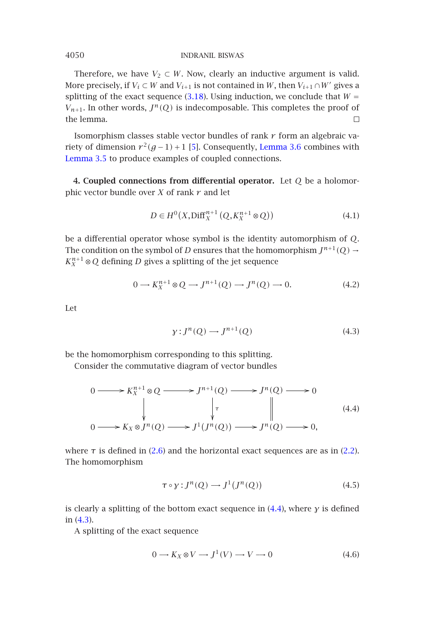<span id="page-9-2"></span><span id="page-9-0"></span>Therefore, we have  $V_2 \subset W$ . Now, clearly an inductive argument is valid. More precisely, if  $V_i \subset W$  and  $V_{i+1}$  is not contained in *W*, then  $V_{i+1} \cap W'$  gives a splitting of the exact sequence (3.18). Using induction, we conclude that  $W =$  $V_{n+1}$ . In other words,  $J^n(Q)$  is indecomposable. This completes the proof of the lemma.  $\Box$ 

Isomorphism classes stable vector bundles of rank *r* form an algebraic variety of dimension  $r^2(g-1)+1$  [5]. Consequently, Lemma 3.6 combines with Lemma 3.5 to produce examples of coupled connections.

**4. Coupled connections from differential operator.** Let *Q* be a holomorphic vector bundle over *X* of rank *r* and let

$$
D \in H^{0}(X, \text{Diff}_{X}^{n+1}(Q, K_{X}^{n+1} \otimes Q))
$$
\n
$$
(4.1)
$$

be a differential operator whose symbol is the identity automorphism of *Q*. The condition on the symbol of *D* ensures that the homomorphism  $J^{n+1}(Q) \rightarrow$  $K_X^{n+1} \otimes Q$  defining *D* gives a splitting of the jet sequence

$$
0 \longrightarrow K_X^{n+1} \otimes Q \longrightarrow J^{n+1}(Q) \longrightarrow J^n(Q) \longrightarrow 0. \tag{4.2}
$$

Let

$$
\gamma: J^n(Q) \longrightarrow J^{n+1}(Q) \tag{4.3}
$$

be the homomorphis[m](#page-2-1) [cor](#page-2-1)responding to this splitting.

<span id="page-9-1"></span>Consider the commutative diagram of vector bundles

$$
0 \longrightarrow K_X^{n+1} \otimes Q \longrightarrow J^{n+1}(Q) \longrightarrow J^n(Q) \longrightarrow 0
$$
  
\n
$$
\downarrow \qquad \qquad \downarrow \qquad \qquad \downarrow
$$
  
\n
$$
0 \longrightarrow K_X \otimes J^n(Q) \longrightarrow J^1(J^n(Q)) \longrightarrow J^n(Q) \longrightarrow 0,
$$
  
\n(4.4)

where  $\tau$  is defined in (2.6) and the horizontal exact sequences are as in (2.2). The homomorphism

$$
\tau \circ \gamma : J^n(Q) \longrightarrow J^1(J^n(Q)) \tag{4.5}
$$

is clearly a splitting of the bottom exact sequence in (4.4), where *γ* is defined in (4.3).

A splitting of the exact sequence

$$
0 \longrightarrow K_X \otimes V \longrightarrow J^1(V) \longrightarrow V \longrightarrow 0 \tag{4.6}
$$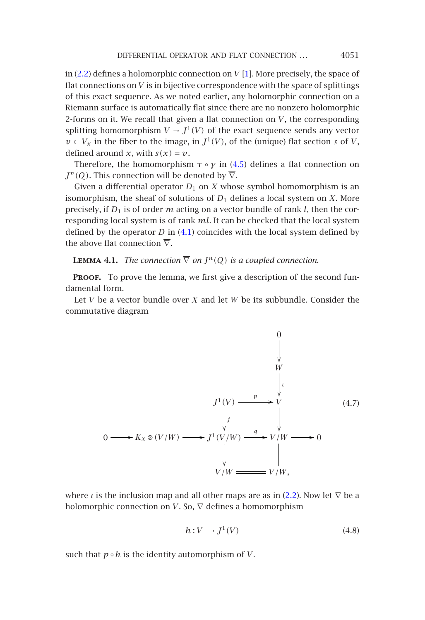#### DIFFERENTIAL OPERATOR AND FLAT CONNECTION ... 4051

in (2.2) defines a holomorphic connection on *V* [\[1](#page-9-1)]. More precisely, the space of flat connections on *V* is in bijective correspondence with the space of splittings of this exact sequence. As we noted earlier, any holomorphic connection on a Riemann surface is automatically flat since there are no nonzero holomorphic 2-forms on it. We recall that given a flat connection on *V*, the corresponding splitting homomorphism  $V \to J^1(V)$  $V \to J^1(V)$  $V \to J^1(V)$  of the exact sequence sends any vector  $v \in V_x$  in the fiber to the image, in  $J^1(V)$ , of the (unique) flat section *s* of *V*, defined around *x*, with  $s(x) = v$ .

<span id="page-10-0"></span>Therefore, the homomorphism  $\tau \circ y$  in (4.5) defines a flat connection on  $J^n(Q)$ . This connection will be denoted by  $\overline{\nabla}$ .

Given a differential operator  $D_1$  on  $X$  whose symbol homomorphism is an isomorphism, the sheaf of solutions of  $D_1$  defines a local system on *X*. More precisely, if *D*<sup>1</sup> is of order *m* acting on a vector bundle of rank *l*, then the corresponding local system is of rank *ml*. It can be checked that the local system defined by the operator  $D$  in  $(4.1)$  coincides with the local system defined by the above flat connection  $\overline{\nabla}$ .

## **LEMMA 4.1.** *The connection*  $\overline{\nabla}$  *on*  $J^n(Q)$  *is a coupled connection.*

**PROOF.** To prove the lemma, we first give a description of the second fundamental form.

Let *V* be a vector bundle over *X* and let *W* be its subbundle. Consider the commutative diagram



where *ι* is the inclusion map and all other maps are as in (2.2). Now let  $\nabla$  be a holomorphic connection on *V*. So,  $\nabla$  defines a homomorphism

$$
h: V \longrightarrow J^1(V) \tag{4.8}
$$

such that  $p \circ h$  is the identity automorphism of *V*.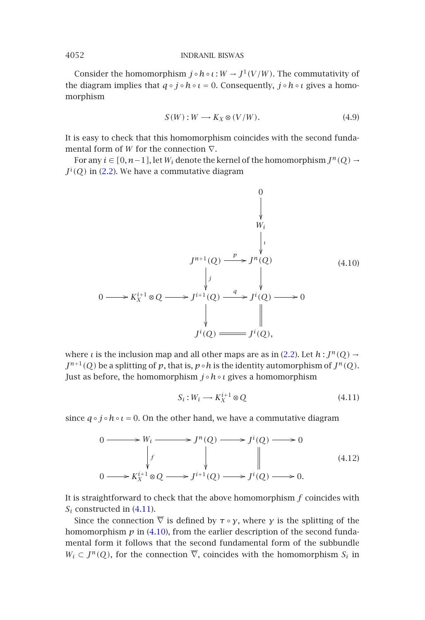Consi[der th](#page-1-0)e homomorphism  $j \circ h \circ \iota : W \to J^1(V/W)$ . The commutativity of the diagram implies that *q* ◦ *j* ◦*h*◦ *ι* = 0. Consequently, *j* ◦*h*◦ *ι* gives a homomorphism

<span id="page-11-1"></span>
$$
S(W): W \longrightarrow K_X \otimes (V/W). \tag{4.9}
$$

It is easy to check that this homomorphism coincides with the second fundamental form of *W* for the connection ∇.

For any *i* ∈  $[0, n-1]$ , let *W<sub>i</sub>* denote the kernel of the homomorphism  $J^n(Q)$  →  $J^i(Q)$  in (2.2). We have a commutative diagram

$$
0
$$
\n
$$
y
$$
\n
$$
y
$$
\n
$$
y
$$
\n
$$
y
$$
\n
$$
y
$$
\n
$$
y
$$
\n
$$
y
$$
\n
$$
y
$$
\n
$$
y
$$
\n
$$
y
$$
\n
$$
y
$$
\n
$$
y
$$
\n
$$
y
$$
\n
$$
y
$$
\n
$$
y
$$
\n
$$
y
$$
\n
$$
y
$$
\n
$$
y
$$
\n
$$
y
$$
\n
$$
y
$$
\n
$$
y
$$
\n
$$
y
$$
\n
$$
y
$$
\n
$$
y
$$
\n
$$
y
$$
\n
$$
y
$$
\n
$$
y
$$
\n
$$
y
$$
\n
$$
y
$$
\n
$$
y
$$
\n
$$
y
$$
\n
$$
y
$$
\n
$$
y
$$
\n
$$
y
$$
\n
$$
y
$$
\n
$$
y
$$
\n
$$
y
$$
\n
$$
y
$$
\n
$$
y
$$
\n
$$
y
$$
\n
$$
y
$$
\n
$$
y
$$
\n
$$
y
$$
\n
$$
y
$$
\n
$$
y
$$
\n
$$
y
$$
\n
$$
y
$$
\n
$$
y
$$
\n
$$
y
$$
\n
$$
y
$$
\n
$$
y
$$
\n
$$
y
$$
\n
$$
y
$$
\n
$$
y
$$
\n
$$
y
$$
\n
$$
y
$$
\n
$$
y
$$
\n
$$
y
$$
\n
$$
y
$$
\n
$$
y
$$
\n
$$
y
$$
\n
$$
y
$$
\n
$$
y
$$
\n
$$
y
$$
\n
$$
y
$$
\n
$$
y
$$
\n
$$
y
$$
\n
$$
y
$$
\n

where *ι* is the inclusion map and all other maps are as in (2.2). Let  $h: J^n(Q) \rightarrow$  $J^{n+1}(Q)$  be a splitting of  $p$ , that is,  $p \circ h$  is the identity automorphism of  $J^n(Q)$ . Just as before, the homomorphism *j* ◦*h*◦*ι* gives a homomorphism

<span id="page-11-0"></span>
$$
S_i: W_i \longrightarrow K_X^{i+1} \otimes Q \tag{4.11}
$$

since  $q \circ j \circ h \circ \iota = 0$ . [On](#page-11-0) the other hand, we have a commutative diagram

$$
0 \longrightarrow W_i \longrightarrow J^n(Q) \longrightarrow J^i(Q) \longrightarrow 0
$$
  
\n
$$
\downarrow f \qquad \qquad \downarrow f \qquad \qquad \downarrow
$$
  
\n
$$
0 \longrightarrow K_X^{i+1} \otimes Q \longrightarrow J^{i+1}(Q) \longrightarrow J^i(Q) \longrightarrow 0.
$$
\n(4.12)

It is straightforward to check that the above homomorphism *f* coincides with  $S_i$  constructed in  $(4.11)$ .

Since the connection  $\overline{\nabla}$  is defined by  $\tau \circ \gamma$ , where  $\gamma$  is the splitting of the homomorphism  $p$  in (4.10), from the earlier description of the second fundamental form it follows that the second fundamental form of the subbundle  $W_i \subset J^n(Q)$ , for the connection  $\overline{\nabla}$ , coincides with the homomorphism  $S_i$  in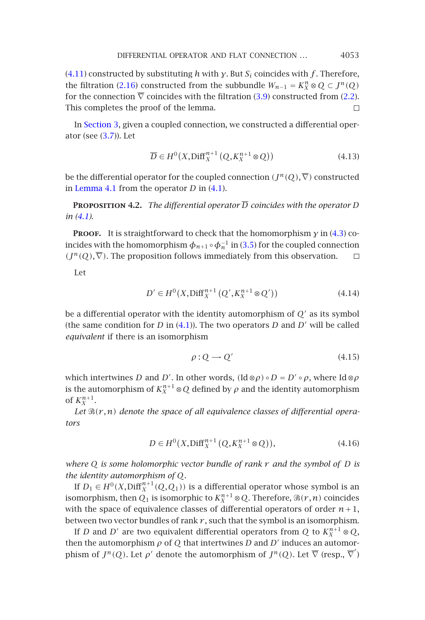## DIFFERENTIAL OPERATOR AND FLAT CONNECTION ... 4053

(4.11) constructed by substituting *h* with *γ*. But *Si* coincides with *f* . Therefore, th[e filtration \(](#page-10-0)2.16) constructed from [the](#page-9-2) subbundle  $W_{n-1} = K_X^n ⊗ Q ⊂ J^n(Q)$ for the connection  $\overline{\nabla}$  coincides with the filtration (3.9) constructed from (2.2). This completes the proof of the lemma.  $\Box$ 

In [Se](#page-9-2)ction 3, given a coupled connection, we constructed a differential operator (see  $(3.7)$ ). Let

$$
\overline{D} \in H^0(X, \text{Diff}_X^{n+1}(Q, K_X^{n+1} \otimes Q))
$$
\n(4.13)

be the differential operator for the coupled connection  $(J^n(Q), \overline{\nabla})$  constructed in Lemma 4.1 from the operator *D* in (4.1).

**PROPOSITION 4.2.** *The differential operator*  $\overline{D}$  *coincides with the operator D in (4.1).*

**Proof.** It is straightforwa[rd](#page-9-2) [to](#page-9-2) check that the homomorphism *γ* in (4.3) coincides with the homomorphism  $\phi_{n+1} \circ \phi_n^{-1}$  in (3.5) for the coupled connection  $(J^n(Q), \overline{\nabla})$ . The proposition follows immediately from this observation.  $\Box$ 

Let

$$
D' \in H^{0}(X, \text{Diff}_{X}^{n+1}(Q', K_{X}^{n+1} \otimes Q')) \tag{4.14}
$$

be a differential operator with the identity automorphism of  $Q'$  as its symbol (the same condition for *D* in  $(4.1)$ ). The two operators *D* and *D'* will be called *equivalent* if there is an isomorphism

$$
\rho: Q \longrightarrow Q' \tag{4.15}
$$

which intertwines *D* and *D'*. In other words,  $(\text{Id} \otimes \rho) \circ D = D' \circ \rho$ , where Id  $\otimes \rho$ is the automorphism of  $K_X^{n+1} \otimes Q$  defined by  $\rho$  and the identity automorphism of  $K_X^{n+1}$ .

Let  $\mathcal{B}(r,n)$  denote the space of all equivalence classes of differential opera*tors*

$$
D \in H^{0}(X, \text{Diff}_{X}^{n+1}(Q, K_{X}^{n+1} \otimes Q)), \tag{4.16}
$$

*where Q is some holomorphic vector bundle of rank r and the symbol of D is the identity automorphism of Q.*

If  $D_1 \in H^0(X, \text{Diff}_X^{n+1}(Q, Q_1))$  is a differential operator whose symbol is an isomorphism, then  $Q_1$  is isomorphic to  $K_X^{n+1} \otimes Q$ . Therefore,  $\mathfrak{B}(r,n)$  coincides with the space of equivalence classes of differential operators of order  $n+1$ , between two vector bundles of rank  $r$ , such that the symbol is an isomorphism.

If *D* and *D'* are two equivalent differential operators from *Q* to  $K_X^{n+1} \otimes Q$ , then the automorphism  $\rho$  of  $Q$  that intertwines  $D$  and  $D'$  induces an automorphism of  $J^n(Q)$ . Let  $\rho'$  denote the automorphism of  $J^n(Q)$ . Let  $\overline{\nabla}$  (resp.,  $\overline{\nabla}'$ )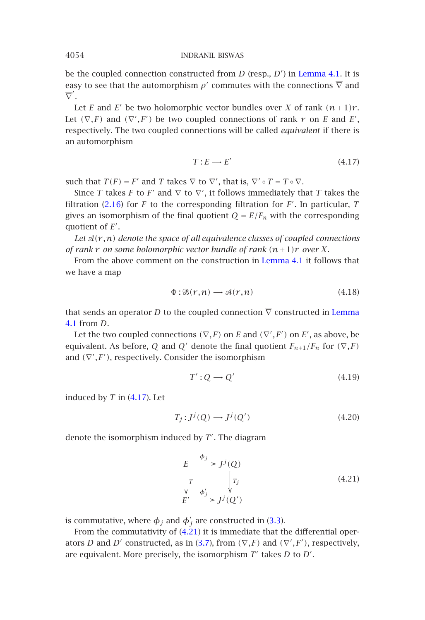be the coupled connection constructed from *D* (resp., *D* ) in Lemma 4.1. It is easy to see that the automorphism  $\rho'$  commutes with the connections  $\overline{\nabla}$  and  $\overline{\nabla}'$ .

Let *E* a[nd](#page-4-0) *E'* be two holomorphic vector bundles over *X* of rank  $(n+1)r$ . Let  $(\nabla, F)$  and  $(\nabla', F')$  be two coupled connections of rank  $r$  on  $E$  and  $E'$ , respectively. The two coupled connections will be called *equivalent* if there is an automorphism

$$
T: E \longrightarrow E' \tag{4.17}
$$

such that  $T(F) = F'$  and *T* takes  $\nabla$  to  $\nabla'$ , that is,  $\nabla' \circ T = T \circ \nabla$ .

Since *T* takes *F* to *F'* and  $\nabla$  to  $\nabla'$ , it follows immediately that *T* takes the filtration (2.16) for *F* to the corresponding filtration for *F* . In particular, *T* gives an isomorphism of the final quotient  $Q = E/F_n$  with the corres[ponding](#page-10-0) [quo](#page-10-0)tient of *E* .

Let  $\mathcal{A}(r,n)$  *denote the space of all equivalence classes of coupled connections of rank r on some holomorphic vector bundle of rank (n*+1*)r over X.*

From the above comment on the construction in Lemma 4.1 it follows that we have a map

<span id="page-13-0"></span>
$$
\Phi : \mathfrak{B}(r,n) \longrightarrow \mathfrak{A}(r,n) \tag{4.18}
$$

that sends an operator *D* to the coupled connection  $\overline{\nabla}$  constructed in Lemma 4.1 from *D*.

Let the two coupled connections  $(\nabla, F)$  on *E* and  $(\nabla', F')$  on *E'*, as above, be equivalent. As before, *Q* and *Q'* denote the final quotient  $F_{n+1}/F_n$  for  $(\nabla, F)$ and  $(\nabla', F')$ , respectively. Consider the isomorphism

$$
T': Q \longrightarrow Q' \tag{4.19}
$$

induced by *T* in (4.17). Let

$$
T_j: J^j(Q) \longrightarrow J^j(Q') \tag{4.20}
$$

denote the isomorphism indu[ced](#page-13-0) [b](#page-13-0)[y](#page-6-2) *T* . The diagram

$$
E \xrightarrow{\phi_j} J^j(Q)
$$
  
\n
$$
\downarrow T
$$
  
\n
$$
E' \xrightarrow{\phi'_j} J^j(Q')
$$
 (4.21)

is commutative, where  $\phi_j$  and  $\phi'_j$  are constructed in (3.3).

From the commutativity of (4.21) it is immediate that the differential operators *D* and *D'* constructed, as in (3.7), from  $(\nabla, F)$  and  $(\nabla', F')$ , respectively, are equivalent. More precisely, the isomorphism T' takes D to D'.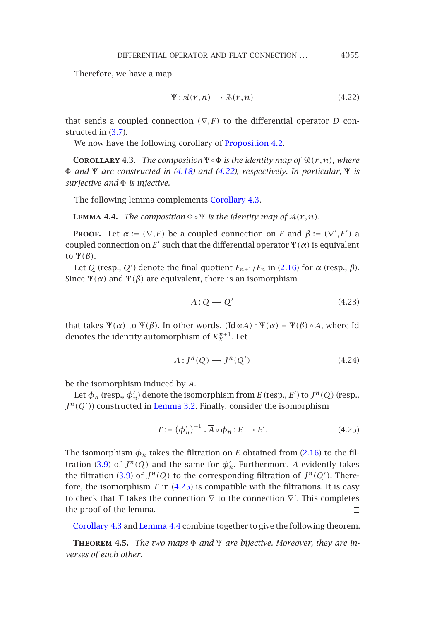DIFFERENTIAL OPERATOR AND FLAT CONNECTION *...* 4055

<span id="page-14-1"></span>Therefore, we have a map

$$
\Psi: \mathcal{A}(r,n) \longrightarrow \mathcal{B}(r,n) \tag{4.22}
$$

<span id="page-14-3"></span>that sends a coupled connection  $(\nabla, F)$  to the differential operator *D* constructed in (3.7).

We now have the following corollary of **Proposition 4.2.** 

**COROLLARY 4.3.** *The composition*  $\Psi \circ \Phi$  *is the identity map of*  $\mathcal{B}(r,n)$ *, where* Φ *and* Ψ *are constructed in (4.18) and (4.22), respective[ly.](#page-4-0) [In](#page-4-0) particular,* Ψ *is surjective and* Φ *is injective.*

The following lemma complements Corollary 4.3.

**LEMMA 4.4.** *The composition*  $\Phi \circ \Psi$  *is the identity map of*  $\mathcal{A}(r,n)$ *.* 

**Proof.** Let  $\alpha := (\nabla, F)$  be a coupled connection on *E* and  $\beta := (\nabla', F')$  a coupled connection on *E'* such that the differential operator  $\Psi(\alpha)$  is equivalent to Ψ*(β)*.

Let *Q* (resp., *Q'*) denote the final quotient  $F_{n+1}/F_n$  in (2.16) for  $\alpha$  (resp.,  $\beta$ ). Since  $\Psi(\alpha)$  and  $\Psi(\beta)$  are equivalent, there is an isomorphism

<span id="page-14-2"></span>
$$
A:Q\longrightarrow Q'\tag{4.23}
$$

that takes  $\Psi(\alpha)$  to  $\Psi(\beta)$ . In other words,  $(\text{Id} \otimes A) \circ \Psi(\alpha) = \Psi(\beta) \circ A$ , where Id denotes the identity automorphism of  $K_X^{n+1}$ . Let

$$
\overline{A}: J^n(Q) \longrightarrow J^n(Q') \tag{4.24}
$$

be the isomor[phis](#page-6-1)m induce[d by](#page-14-2) *A*.

Let  $\phi_n$  (resp.,  $\phi_n'$ ) denote the isomorphism from *E* (resp., *E'*) to  $J^n(Q)$  (resp.,  $J<sup>n</sup>(Q')$  constructed in Lemma 3.2. Finally, consider the isomorphism

$$
T := (\phi'_n)^{-1} \circ \overline{A} \circ \phi_n : E \longrightarrow E'. \tag{4.25}
$$

<span id="page-14-0"></span>The isomorphism  $\phi_n$  takes the filtration on *E* obtained from (2.16) to the filtration (3.9) of  $J^n(Q)$  and the same for  $\phi'_n$ . Furthermore,  $\overline{A}$  evidently takes the filtration (3.9) of  $J^n(Q)$  to the corresponding filtration of  $J^n(Q')$ . Therefore, the isomorphism *T* in (4.25) is compatible with the filtrations. It is easy to check that *T* takes the connection  $\nabla$  to the connection  $\nabla'$ . This completes the proof of the lemma.  $\Box$ 

Corollary 4.3 and Lemma 4.4 combine together to give the following theorem.

**Theorem 4.5.** *The two maps* Φ *and* Ψ *are bijective. Moreover, they are inverses of each other.*